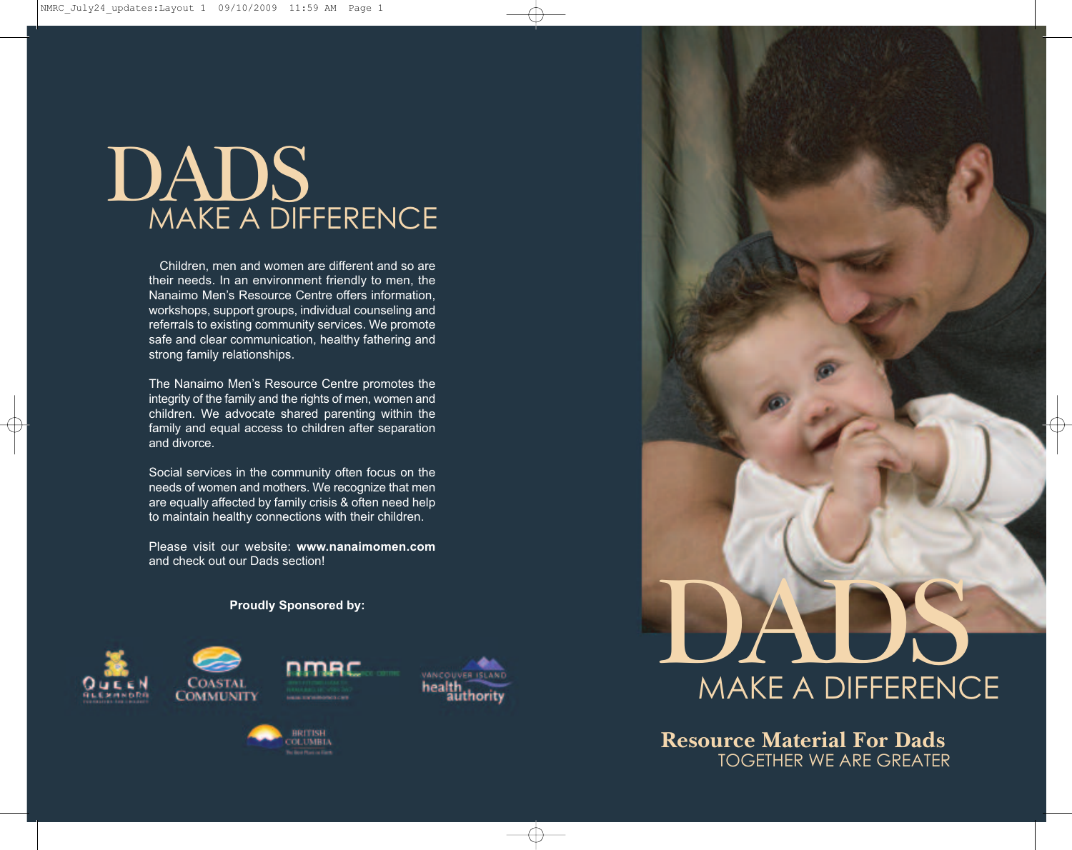# DADS MAKE A DIFFERENCE

Children, men and women are different and so are their needs. In an environment friendly to men, the Nanaimo Men's Resource Centre offers information, workshops, support groups, individual counseling and referrals to existing community services. We promote safe and clear communication, healthy fathering and strong family relationships.

The Nanaimo Men's Resource Centre promotes the integrity of the family and the rights of men, women and children. We advocate shared parenting within the family and equal access to children after separation and divorce.

Social services in the community often focus on the needs of women and mothers. We recognize that men are equally affected by family crisis & often need help to maintain healthy connections with their children.

Please visit our website: **www.nanaimomen.com** and check out our Dads section!

# **Proudly Sponsored by:**





**Resource Material For Dads** TOGETHER WE ARE GREATER

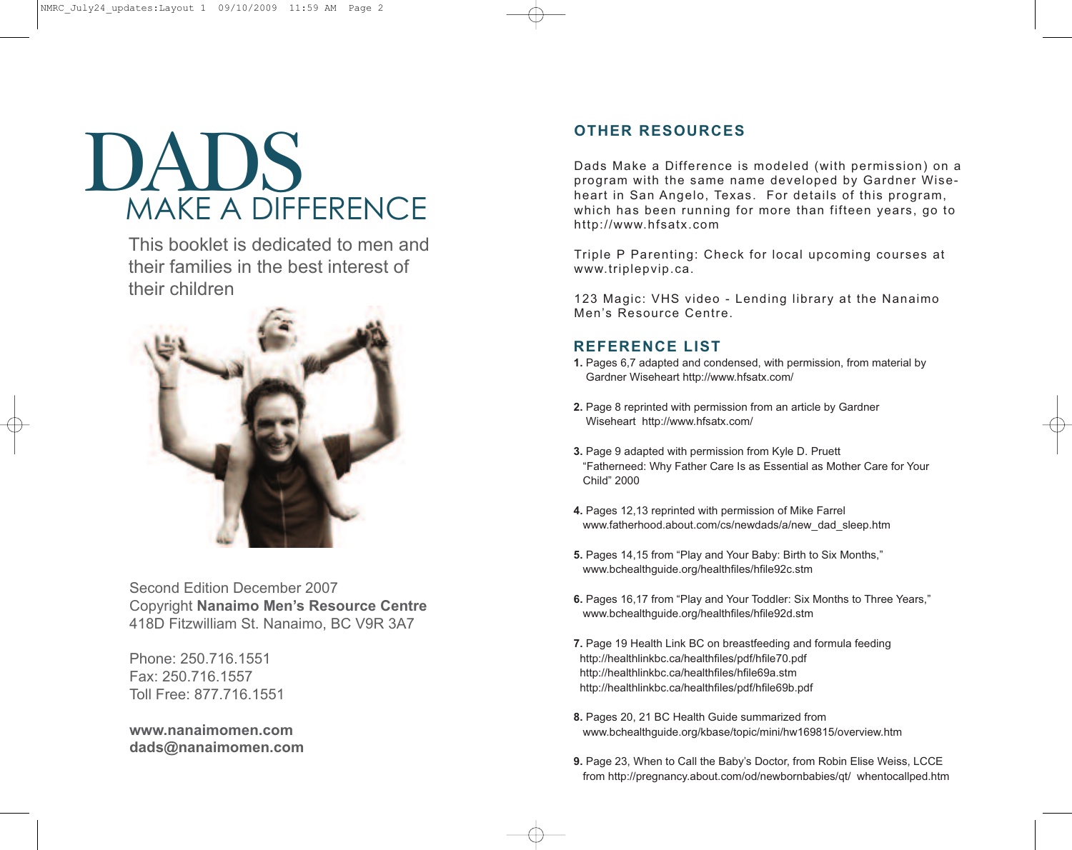# DADS MAKE A DIFFERENCE

This booklet is dedicated to men and their families in the best interest of their children



Second Edition December 2007 Copyright **Nanaimo Men's Resource Centre** 418D Fitzwilliam St. Nanaimo, BC V9R 3A7

Phone: 250.716.1551 Fax: 250.716.1557 Toll Free: 877.716.1551

**www.nanaimomen.com dads@nanaimomen.com**

# **OTHER RESOURCES**

Dads Make a Difference is modeled (with permission) on a program with the same name developed by Gardner Wiseheart in San Angelo, Texas. For details of this program, which has been running for more than fifteen years, go to http://www.hfsatx.com

Triple P Parenting: Check for local upcoming courses at www.triplepvip.ca.

123 Magic: VHS video - Lending library at the Nanaimo Men's Resource Centre.

# **REFERENCE LIST**

- **1.** Pages 6,7 adapted and condensed, with permission, from material by Gardner Wiseheart http://www.hfsatx.com/
- **2.** Page 8 reprinted with permission from an article by Gardner Wiseheart http://www.hfsatx.com/
- **3.** Page 9 adapted with permission from Kyle D. Pruett "Fatherneed: Why Father Care Is as Essential as Mother Care for Your Child" 2000
- **4.** Pages 12,13 reprinted with permission of Mike Farrel www.fatherhood.about.com/cs/newdads/a/new\_dad\_sleep.htm
- **5.** Pages 14,15 from "Play and Your Baby: Birth to Six Months," www.bchealthguide.org/healthfiles/hfile92c.stm
- **6.** Pages 16,17 from "Play and Your Toddler: Six Months to Three Years," www.bchealthguide.org/healthfiles/hfile92d.stm
- **7.** Page 19 Health Link BC on breastfeeding and formula feeding http://healthlinkbc.ca/healthfiles/pdf/hfile70.pdf http://healthlinkbc.ca/healthfiles/hfile69a.stm http://healthlinkbc.ca/healthfiles/pdf/hfile69b.pdf
- **8.** Pages 20, 21 BC Health Guide summarized from www.bchealthguide.org/kbase/topic/mini/hw169815/overview.htm
- **9.** Page 23, When to Call the Baby's Doctor, from Robin Elise Weiss, LCCE from http://pregnancy.about.com/od/newbornbabies/qt/ whentocallped.htm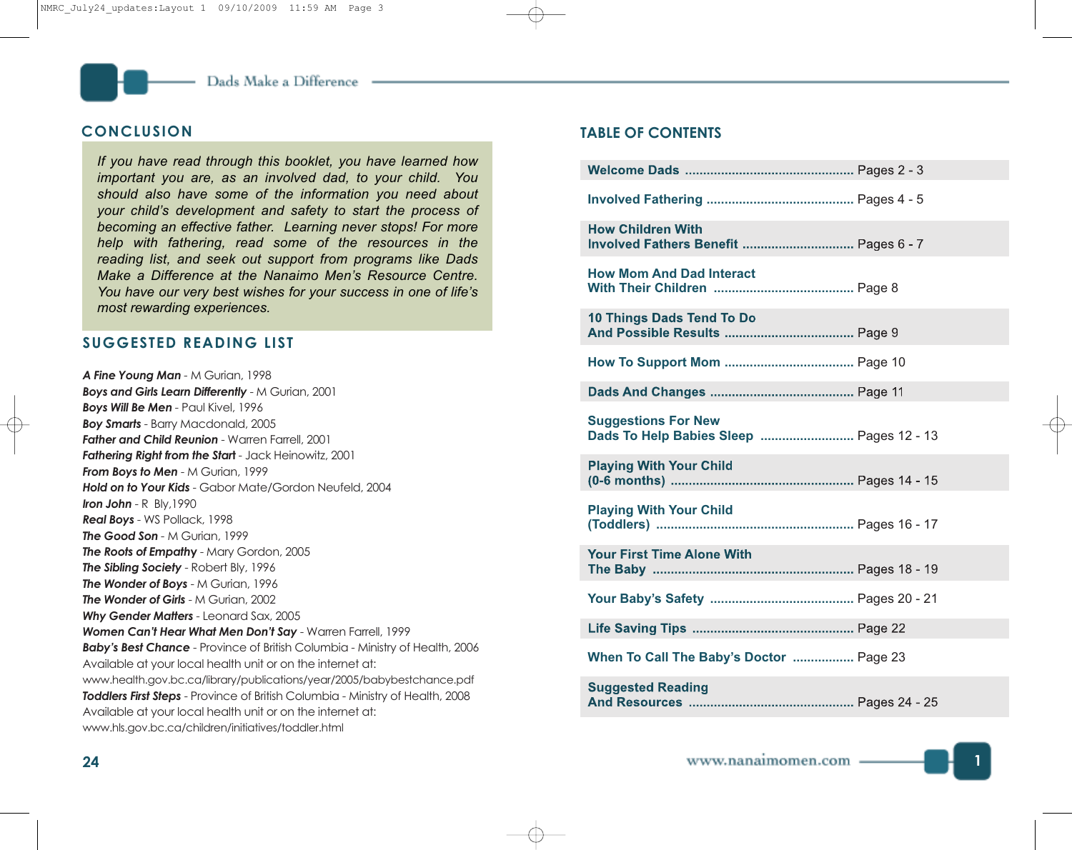# **CONCLUSION**

*If you have read through this booklet, you have learned how important you are, as an involved dad, to your child. You should also have some of the information you need about your child's development and safety to start the process of becoming an effective father. Learning never stops! For more help with fathering, read some of the resources in the reading list, and seek out support from programs like Dads Make a Difference at the Nanaimo Men's Resource Centre. You have our very best wishes for your success in one of life's most rewarding experiences.*

# **SUGGESTED READING LIST**

*A Fine Young Man -* M Gurian, 1998 *Boys and Girls Learn Differently* - M Gurian, 2001 *Boys Will Be Men -* Paul Kivel, 1996 *Boy Smarts* - Barry Macdonald, 2005 *Father and Child Reunion* - Warren Farrell, 2001 *Fathering Right from the Star***t** - Jack Heinowitz, 2001 *From Boys to Men* - M Gurian, 1999 *Hold on to Your Kids* - Gabor Mate/Gordon Neufeld, 2004 *Iron John* - R Bly,1990 *Real Boys* - WS Pollack, 1998 *The Good Son -* M Gurian, 1999 *The Roots of Empath***y** - Mary Gordon, 2005 *The Sibling Society* - Robert Bly, 1996 *The Wonder of Boys* - M Gurian, 1996 *The Wonder of Girls* - M Gurian, 2002 *Why Gender Matters* - Leonard Sax, 2005 *Women Can't Hear What Men Don't Say* - Warren Farrell, 1999 *Baby's Best Chance* - Province of British Columbia - Ministry of Health, 2006 Available at your local health unit or on the internet at: www.health.gov.bc.ca/library/publications/year/2005/babybestchance.pdf *Toddlers First Steps* - Province of British Columbia - Ministry of Health, 2008 Available at your local health unit or on the internet at: www.hls.gov.bc.ca/children/initiatives/toddler.html

# **TABLE OF CONTENTS**

| <b>How Children With</b><br>Involved Fathers Benefit  Pages 6 - 7      |
|------------------------------------------------------------------------|
| <b>How Mom And Dad Interact</b>                                        |
| <b>10 Things Dads Tend To Do</b>                                       |
|                                                                        |
|                                                                        |
| <b>Suggestions For New</b><br>Dads To Help Babies Sleep  Pages 12 - 13 |
| <b>Playing With Your Child</b>                                         |
| <b>Playing With Your Child</b>                                         |
| <b>Your First Time Alone With</b>                                      |
|                                                                        |
|                                                                        |
| When To Call The Baby's Doctor  Page 23                                |
| <b>Suggested Reading</b>                                               |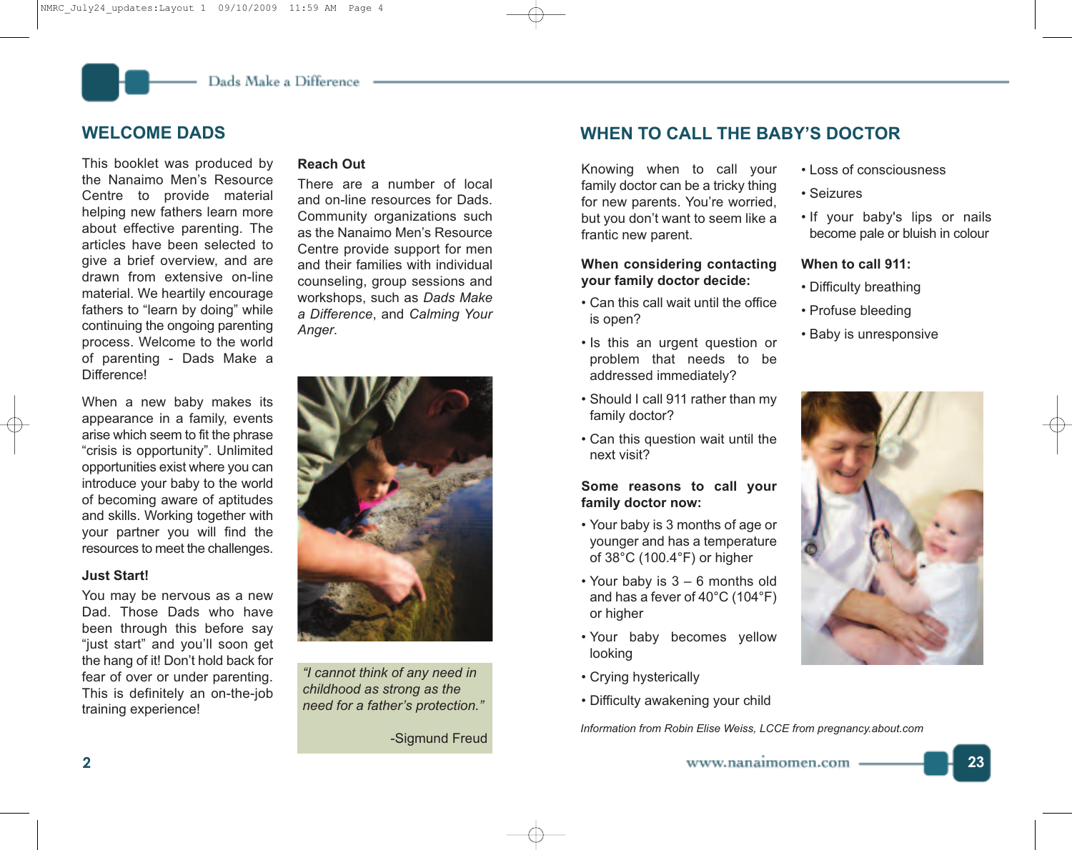# **WELCOME DADS**

This booklet was produced by the Nanaimo Men's Resource Centre to provide material helping new fathers learn more about effective parenting. The articles have been selected to give a brief overview, and are drawn from extensive on-line material. We heartily encourage fathers to "learn by doing" while continuing the ongoing parenting process. Welcome to the world of parenting - Dads Make a Difference!

When a new baby makes its appearance in a family, events arise which seem to fit the phrase "crisis is opportunity". Unlimited opportunities exist where you can introduce your baby to the world of becoming aware of aptitudes and skills. Working together with your partner you will find the resources to meet the challenges.

# **Just Start!**

You may be nervous as a new Dad. Those Dads who have been through this before say "just start" and you'll soon get the hang of it! Don't hold back for fear of over or under parenting. This is definitely an on-the-job training experience!

# **Reach Out**

There are a number of local and on-line resources for Dads. Community organizations such as the Nanaimo Men's Resource Centre provide support for men and their families with individual counseling, group sessions and workshops, such as *Dads Make a Difference*, and *Calming Your Anger*.



*"I cannot think of any need in childhood as strong as the need for a father's protection."*

-Sigmund Freud

# **WHEN TO CALL THE BABY'S DOCTOR**

Knowing when to call your family doctor can be a tricky thing for new parents. You're worried, but you don't want to seem like a frantic new parent.

# **When considering contacting your family doctor decide:**

- Can this call wait until the office is open?
- Is this an urgent question or problem that needs to be addressed immediately?
- Should I call 911 rather than my family doctor?
- Can this question wait until the next visit?

# **Some reasons to call your family doctor now:**

- Your baby is 3 months of age or younger and has a temperature of 38°C (100.4°F) or higher
- Your baby is 3 6 months old and has a fever of 40°C (104°F) or higher
- Your baby becomes yellow looking
- Crying hysterically
- Difficulty awakening your child

*Information from Robin Elise Weiss, LCCE from pregnancy.about.com*

- Loss of consciousness
- Seizures
- If your baby's lips or nails become pale or bluish in colour

# **When to call 911:**

- Difficulty breathing
- Profuse bleeding
- Baby is unresponsive

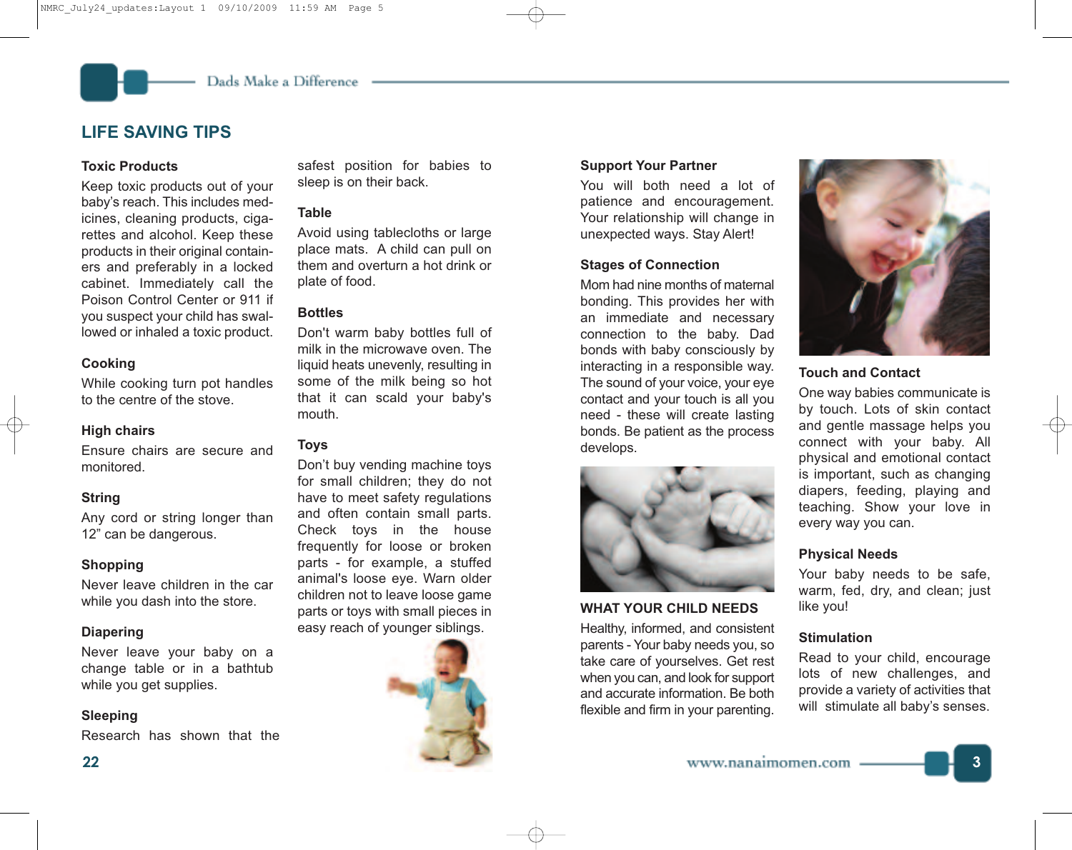# **LIFE SAVING TIPS**

# **Toxic Products**

Keep toxic products out of your baby's reach. This includes medicines, cleaning products, cigarettes and alcohol. Keep these products in their original containers and preferably in a locked cabinet. Immediately call the Poison Control Center or 911 if you suspect your child has swallowed or inhaled a toxic product.

#### **Cooking**

While cooking turn pot handles to the centre of the stove.

# **High chairs**

Ensure chairs are secure and monitored.

# **String**

Any cord or string longer than 12" can be dangerous.

# **Shopping**

Never leave children in the car while you dash into the store.

# **Diapering**

Never leave your baby on a change table or in a bathtub while you get supplies.

# **Sleeping**

Research has shown that the

safest position for babies to sleep is on their back.

# **Table**

Avoid using tablecloths or large place mats. A child can pull on them and overturn a hot drink or plate of food.

# **Bottles**

Don't warm baby bottles full of milk in the microwave oven. The liquid heats unevenly, resulting in some of the milk being so hot that it can scald your baby's mouth.

#### **Toys**

Don't buy vending machine toys for small children; they do not have to meet safety regulations and often contain small parts. Check toys in the house frequently for loose or broken parts - for example, a stuffed animal's loose eye. Warn older children not to leave loose game parts or toys with small pieces in easy reach of younger siblings.



# **Support Your Partner**

You will both need a lot of patience and encouragement. Your relationship will change in unexpected ways. Stay Alert!

# **Stages of Connection**

Mom had nine months of maternal bonding. This provides her with an immediate and necessary connection to the baby. Dad bonds with baby consciously by interacting in a responsible way. The sound of your voice, your eye contact and your touch is all you need - these will create lasting bonds. Be patient as the process develops.



# **WHAT YOUR CHILD NEEDS**

Healthy, informed, and consistent parents - Your baby needs you, so take care of yourselves. Get rest when you can, and look for support and accurate information. Be both flexible and firm in your parenting.



# **Touch and Contact**

One way babies communicate is by touch. Lots of skin contact and gentle massage helps you connect with your baby. All physical and emotional contact is important, such as changing diapers, feeding, playing and teaching. Show your love in every way you can.

# **Physical Needs**

Your baby needs to be safe, warm, fed, dry, and clean; just like you!

# **Stimulation**

Read to your child, encourage lots of new challenges, and provide a variety of activities that will stimulate all baby's senses.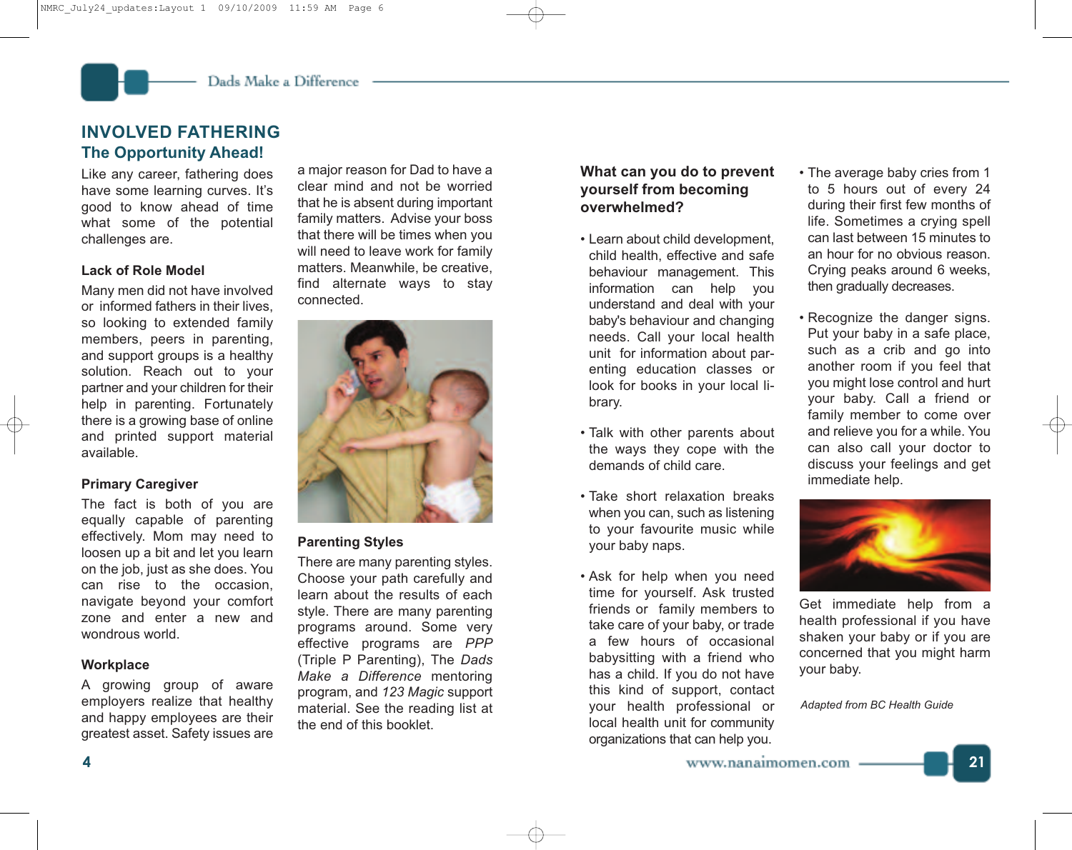# **INVOLVED FATHERING The Opportunity Ahead!**

Like any career, fathering does have some learning curves. It's good to know ahead of time what some of the potential challenges are.

# **Lack of Role Model**

Many men did not have involved or informed fathers in their lives, so looking to extended family members, peers in parenting, and support groups is a healthy solution. Reach out to your partner and your children for their help in parenting. Fortunately there is a growing base of online and printed support material available.

# **Primary Caregiver**

The fact is both of you are equally capable of parenting effectively. Mom may need to loosen up a bit and let you learn on the job, just as she does. You can rise to the occasion, navigate beyond your comfort zone and enter a new and wondrous world.

# **Workplace**

A growing group of aware employers realize that healthy and happy employees are their greatest asset. Safety issues are

a major reason for Dad to have a clear mind and not be worried that he is absent during important family matters. Advise your boss that there will be times when you will need to leave work for family matters. Meanwhile, be creative, find alternate ways to stay connected.



# **Parenting Styles**

There are many parenting styles. Choose your path carefully and learn about the results of each style. There are many parenting programs around. Some very effective programs are *PPP* (Triple P Parenting), The *Dads Make a Difference* mentoring program, and *123 Magic* support material. See the reading list at the end of this booklet.

# **What can you do to prevent yourself from becoming overwhelmed?**

- Learn about child development, child health, effective and safe behaviour management. This information can help you understand and deal with your baby's behaviour and changing needs. Call your local health unit for information about parenting education classes or look for books in your local library.
- Talk with other parents about the ways they cope with the demands of child care.
- Take short relaxation breaks when you can, such as listening to your favourite music while your baby naps.
- Ask for help when you need time for yourself. Ask trusted friends or family members to take care of your baby, or trade a few hours of occasional babysitting with a friend who has a child. If you do not have this kind of support, contact your health professional or local health unit for community organizations that can help you.
- The average baby cries from 1 to 5 hours out of every 24 during their first few months of life. Sometimes a crying spell can last between 15 minutes to an hour for no obvious reason. Crying peaks around 6 weeks, then gradually decreases.
- Recognize the danger signs. Put your baby in a safe place, such as a crib and go into another room if you feel that you might lose control and hurt your baby. Call a friend or family member to come over and relieve you for a while. You can also call your doctor to discuss your feelings and get immediate help.



Get immediate help from a health professional if you have shaken your baby or if you are concerned that you might harm your baby.

*Adapted from BC Health Guide*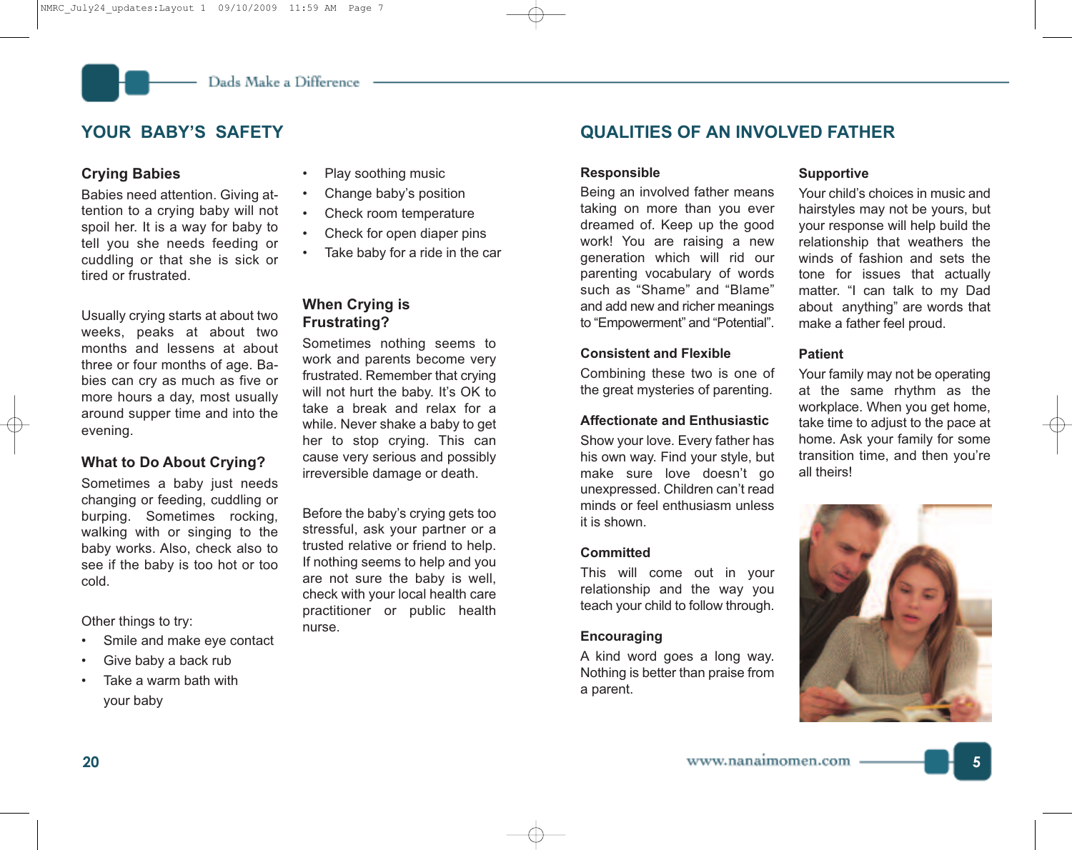# **Crying Babies**

Babies need attention. Giving attention to a crying baby will not spoil her. It is a way for baby to tell you she needs feeding or cuddling or that she is sick or tired or frustrated.

Usually crying starts at about two weeks, peaks at about two months and lessens at about three or four months of age. Babies can cry as much as five or more hours a day, most usually around supper time and into the evening.

# **What to Do About Crying?**

Sometimes a baby just needs changing or feeding, cuddling or burping. Sometimes rocking, walking with or singing to the baby works. Also, check also to see if the baby is too hot or too cold.

Other things to try:

- Smile and make eye contact
- Give baby a back rub
- Take a warm bath with your baby
- Play soothing music
- Change baby's position
- Check room temperature
- Check for open diaper pins
- Take baby for a ride in the car

# **When Crying is Frustrating?**

Sometimes nothing seems to work and parents become very frustrated. Remember that crying will not hurt the baby. It's OK to take a break and relax for a while. Never shake a baby to get her to stop crying. This can cause very serious and possibly irreversible damage or death.

Before the baby's crying gets too stressful, ask your partner or a trusted relative or friend to help. If nothing seems to help and you are not sure the baby is well, check with your local health care practitioner or public health nurse.

# **YOUR BABY'S SAFETY QUALITIES OF AN INVOLVED FATHER**

#### **Responsible**

Being an involved father means taking on more than you ever dreamed of. Keep up the good work! You are raising a new generation which will rid our parenting vocabulary of words such as "Shame" and "Blame" and add new and richer meanings to "Empowerment" and "Potential".

# **Consistent and Flexible**

Combining these two is one of the great mysteries of parenting.

# **Affectionate and Enthusiastic**

Show your love. Every father has his own way. Find your style, but make sure love doesn't go unexpressed. Children can't read minds or feel enthusiasm unless it is shown.

# **Committed**

This will come out in your relationship and the way you teach your child to follow through.

# **Encouraging**

A kind word goes a long way. Nothing is better than praise from a parent.

## **Supportive**

Your child's choices in music and hairstyles may not be yours, but your response will help build the relationship that weathers the winds of fashion and sets the tone for issues that actually matter. "I can talk to my Dad about anything" are words that make a father feel proud.

# **Patient**

Your family may not be operating at the same rhythm as the workplace. When you get home, take time to adjust to the pace at home. Ask your family for some transition time, and then you're all theirs!

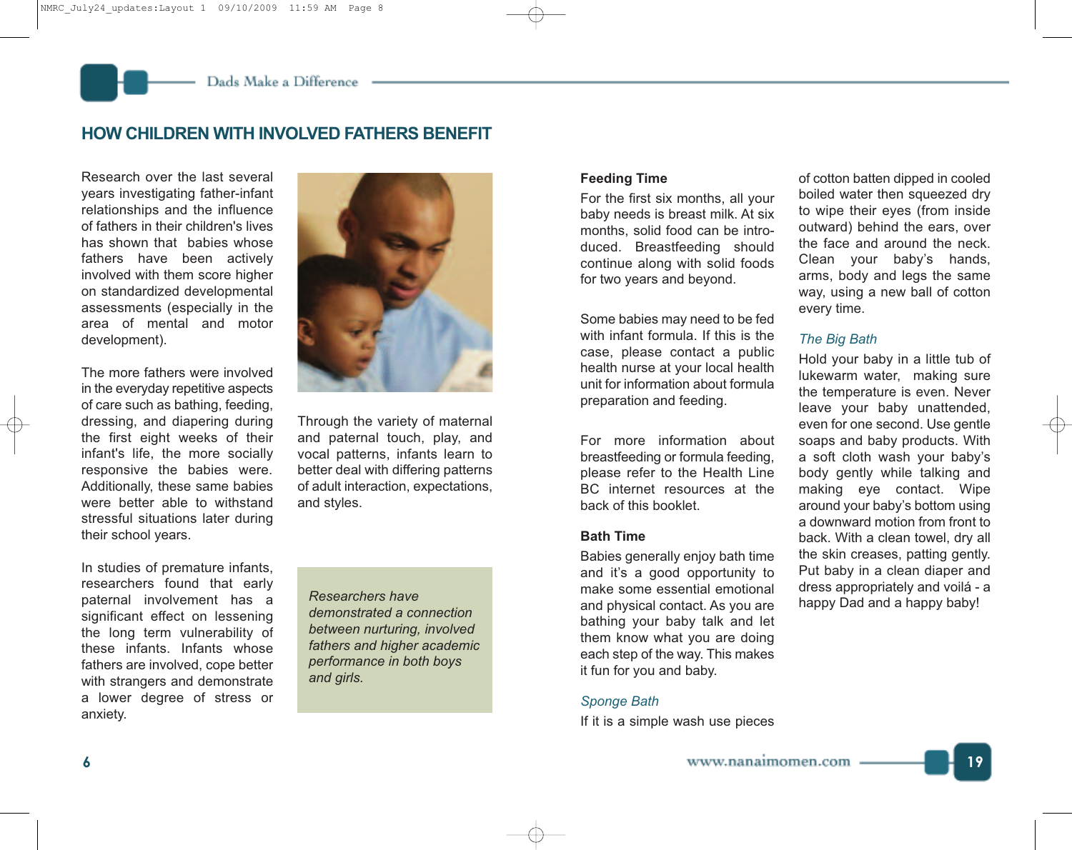# **HOW CHILDREN WITH INVOLVED FATHERS BENEFIT**

Research over the last several years investigating father-infant relationships and the influence of fathers in their children's lives has shown that babies whose fathers have been actively involved with them score higher on standardized developmental assessments (especially in the area of mental and motor development).

The more fathers were involved in the everyday repetitive aspects of care such as bathing, feeding, dressing, and diapering during the first eight weeks of their infant's life, the more socially responsive the babies were. Additionally, these same babies were better able to withstand stressful situations later during their school years.

In studies of premature infants, researchers found that early paternal involvement has a significant effect on lessening the long term vulnerability of these infants. Infants whose fathers are involved, cope better with strangers and demonstrate a lower degree of stress or anxiety.



Through the variety of maternal and paternal touch, play, and vocal patterns, infants learn to better deal with differing patterns of adult interaction, expectations, and styles.

*Researchers have demonstrated a connection between nurturing, involved fathers and higher academic performance in both boys and girls.*

# **Feeding Time**

For the first six months, all your baby needs is breast milk. At six months, solid food can be introduced. Breastfeeding should continue along with solid foods for two years and beyond.

Some babies may need to be fed with infant formula. If this is the case, please contact a public health nurse at your local health unit for information about formula preparation and feeding.

For more information about breastfeeding or formula feeding, please refer to the Health Line BC internet resources at the back of this booklet.

# **Bath Time**

Babies generally enjoy bath time and it's a good opportunity to make some essential emotional and physical contact. As you are bathing your baby talk and let them know what you are doing each step of the way. This makes it fun for you and baby.

# *Sponge Bath*

If it is a simple wash use pieces

of cotton batten dipped in cooled boiled water then squeezed dry to wipe their eyes (from inside outward) behind the ears, over the face and around the neck. Clean your baby's hands, arms, body and legs the same way, using a new ball of cotton every time.

# *The Big Bath*

Hold your baby in a little tub of lukewarm water, making sure the temperature is even. Never leave your baby unattended, even for one second. Use gentle soaps and baby products. With a soft cloth wash your baby's body gently while talking and making eye contact. Wipe around your baby's bottom using a downward motion from front to back. With a clean towel, dry all the skin creases, patting gently. Put baby in a clean diaper and dress appropriately and voilá - a happy Dad and a happy baby!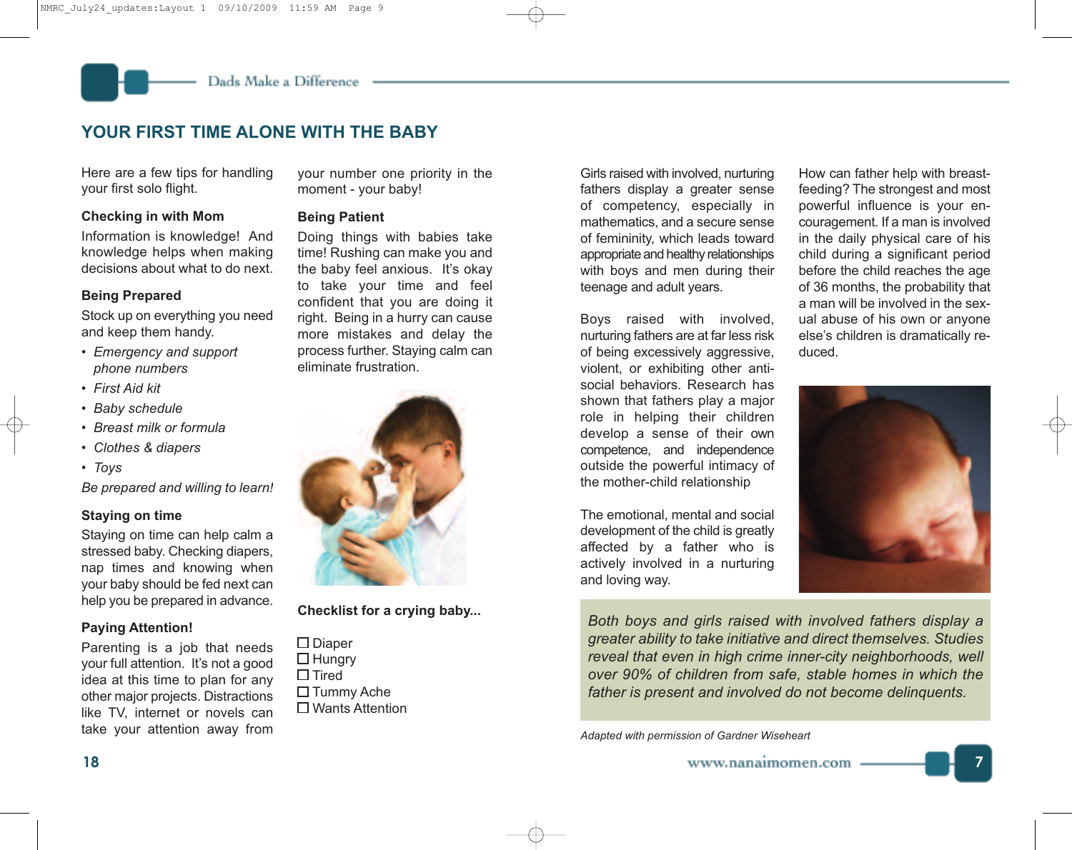# **YOUR FIRST TIME ALONE WITH THE BABY**

Here are a few tips for handling your first solo flight.

# **Checking in with Mom**

Information is knowledge! And knowledge helps when making decisions about what to do next.

# **Being Prepared**

Stock up on everything you need and keep them handy.

- *• Emergency and support phone numbers*
- *• First Aid kit*
- *• Baby schedule*
- *• Breast milk or formula*
- *• Clothes & diapers*
- *• Toys*

*Be prepared and willing to learn!*

# **Staying on time**

Staying on time can help calm a stressed baby. Checking diapers, nap times and knowing when your baby should be fed next can help you be prepared in advance.

# **Paying Attention!**

Parenting is a job that needs your full attention. It's not a good idea at this time to plan for any other major projects. Distractions like TV, internet or novels can take your attention away from your number one priority in the moment - your baby!

# **Being Patient**

Doing things with babies take time! Rushing can make you and the baby feel anxious. It's okay to take your time and feel confident that you are doing it right. Being in a hurry can cause more mistakes and delay the process further. Staying calm can eliminate frustration.



**Checklist for a crying baby...**

 $\square$  Diaper  $\Box$  Hungry  $\square$  Tired  $\Box$  Tummy Ache □ Wants Attention

Girls raised with involved, nurturing fathers display a greater sense of competency, especially in mathematics, and a secure sense of femininity, which leads toward appropriate and healthy relationships with boys and men during their teenage and adult years.

Boys raised with involved, nurturing fathers are at far less risk of being excessively aggressive, violent, or exhibiting other antisocial behaviors. Research has shown that fathers play a major role in helping their children develop a sense of their own competence, and independence outside the powerful intimacy of the mother-child relationship

The emotional, mental and social development of the child is greatly affected by a father who is actively involved in a nurturing and loving way.

How can father help with breastfeeding? The strongest and most powerful influence is your encouragement. If a man is involved in the daily physical care of his child during a significant period before the child reaches the age of 36 months, the probability that a man will be involved in the sexual abuse of his own or anyone else's children is dramatically reduced.



*Both boys and girls raised with involved fathers display a greater ability to take initiative and direct themselves. Studies reveal that even in high crime inner-city neighborhoods, well over 90% of children from safe, stable homes in which the father is present and involved do not become delinquents.*

*Adapted with permission of Gardner Wiseheart*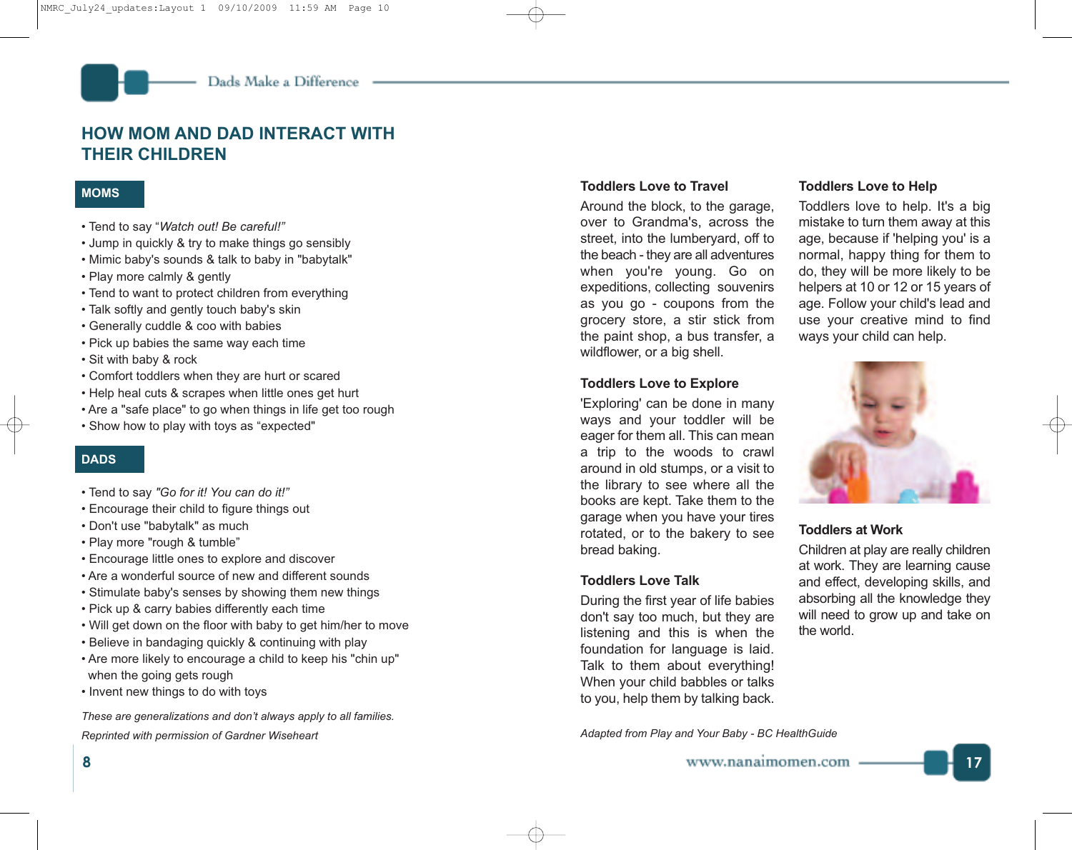# **HOW MOM AND DAD INTERACT WITH THEIR CHILDREN**

# **MOMS**

- Tend to say "*Watch out! Be careful!"*
- Jump in quickly & try to make things go sensibly
- Mimic baby's sounds & talk to baby in "babytalk"
- Play more calmly & gently
- Tend to want to protect children from everything
- Talk softly and gently touch baby's skin
- Generally cuddle & coo with babies
- Pick up babies the same way each time
- Sit with baby & rock
- Comfort toddlers when they are hurt or scared
- Help heal cuts & scrapes when little ones get hurt
- Are a "safe place" to go when things in life get too rough
- Show how to play with toys as "expected"

# **DADS**

- Tend to say *"Go for it! You can do it!"*
- Encourage their child to figure things out
- Don't use "babytalk" as much
- Play more "rough & tumble"
- Encourage little ones to explore and discover
- Are a wonderful source of new and different sounds
- Stimulate baby's senses by showing them new things
- Pick up & carry babies differently each time
- Will get down on the floor with baby to get him/her to move
- Believe in bandaging quickly & continuing with play
- Are more likely to encourage a child to keep his "chin up" when the going gets rough
- Invent new things to do with toys

*These are generalizations and don't always apply to all families. Reprinted with permission of Gardner Wiseheart*

# **Toddlers Love to Travel**

Around the block, to the garage, over to Grandma's, across the street, into the lumberyard, off to the beach - they are all adventures when you're young. Go on expeditions, collecting souvenirs as you go - coupons from the grocery store, a stir stick from the paint shop, a bus transfer, a wildflower, or a big shell.

# **Toddlers Love to Explore**

'Exploring' can be done in many ways and your toddler will be eager for them all. This can mean a trip to the woods to crawl around in old stumps, or a visit to the library to see where all the books are kept. Take them to the garage when you have your tires rotated, or to the bakery to see bread baking.

# **Toddlers Love Talk**

During the first year of life babies don't say too much, but they are listening and this is when the foundation for language is laid. Talk to them about everything! When your child babbles or talks to you, help them by talking back.

*Adapted from Play and Your Baby - BC HealthGuide*

# **Toddlers Love to Help**

Toddlers love to help. It's a big mistake to turn them away at this age, because if 'helping you' is a normal, happy thing for them to do, they will be more likely to be helpers at 10 or 12 or 15 years of age. Follow your child's lead and use your creative mind to find ways your child can help.



# **Toddlers at Work**

Children at play are really children at work. They are learning cause and effect, developing skills, and absorbing all the knowledge they will need to grow up and take on the world.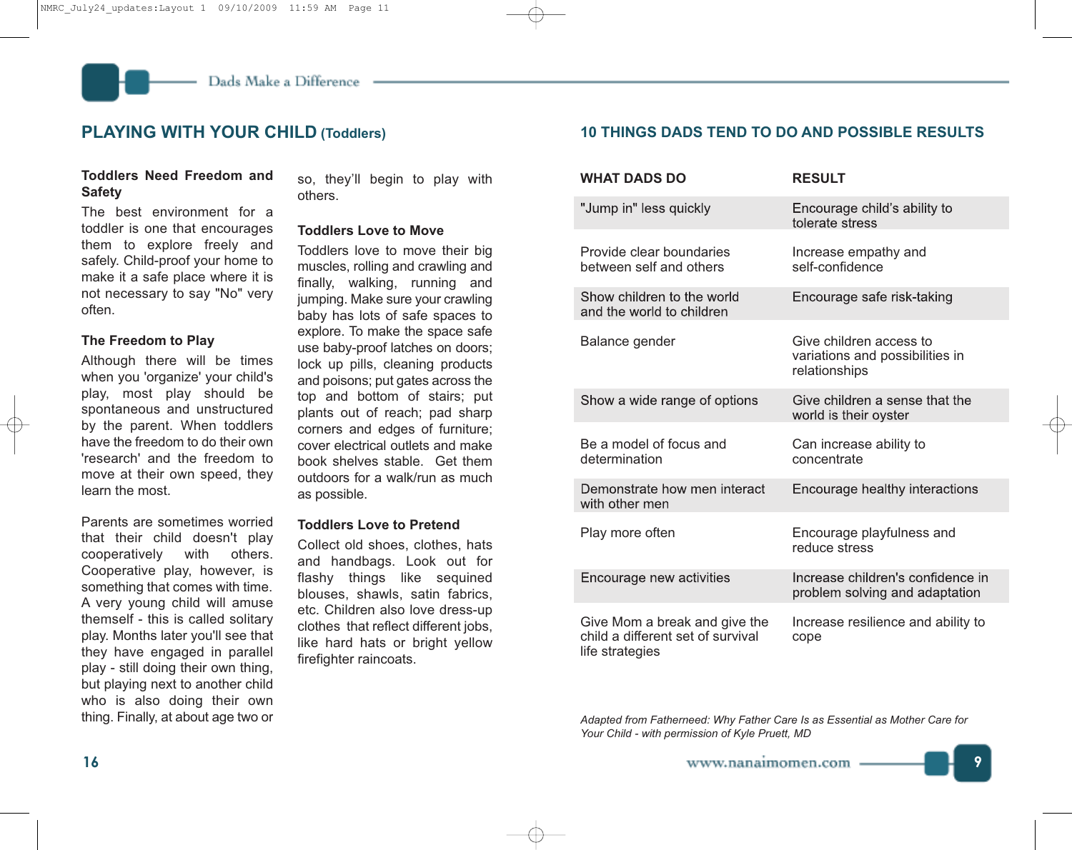# **Toddlers Need Freedom and Safety**

The best environment for a toddler is one that encourages them to explore freely and safely. Child-proof your home to make it a safe place where it is not necessary to say "No" very often.

#### **The Freedom to Play**

Although there will be times when you 'organize' your child's play, most play should be spontaneous and unstructured by the parent. When toddlers have the freedom to do their own 'research' and the freedom to move at their own speed, they learn the most.

Parents are sometimes worried that their child doesn't play cooperatively with others. Cooperative play, however, is something that comes with time. A very young child will amuse themself - this is called solitary play. Months later you'll see that they have engaged in parallel play - still doing their own thing, but playing next to another child who is also doing their own thing. Finally, at about age two or

so, they'll begin to play with others.

#### **Toddlers Love to Move**

Toddlers love to move their big muscles, rolling and crawling and finally, walking, running and jumping. Make sure your crawling baby has lots of safe spaces to explore. To make the space safe use baby-proof latches on doors; lock up pills, cleaning products and poisons; put gates across the top and bottom of stairs; put plants out of reach; pad sharp corners and edges of furniture; cover electrical outlets and make book shelves stable. Get them outdoors for a walk/run as much as possible.

#### **Toddlers Love to Pretend**

Collect old shoes, clothes, hats and handbags. Look out for flashy things like sequined blouses, shawls, satin fabrics, etc. Children also love dress-up clothes that reflect different jobs, like hard hats or bright yellow firefighter raincoats.

# **PLAYING WITH YOUR CHILD (Toddlers) 10 THINGS DADS TEND TO DO AND POSSIBLE RESULTS**

| <b>WHAT DADS DO</b>                                                                   | <b>RESULT</b>                                                               |
|---------------------------------------------------------------------------------------|-----------------------------------------------------------------------------|
| "Jump in" less quickly                                                                | Encourage child's ability to<br>tolerate stress                             |
| Provide clear boundaries<br>between self and others                                   | Increase empathy and<br>self-confidence                                     |
| Show children to the world<br>and the world to children                               | Encourage safe risk-taking                                                  |
| Balance gender                                                                        | Give children access to<br>variations and possibilities in<br>relationships |
| Show a wide range of options                                                          | Give children a sense that the<br>world is their oyster                     |
| Be a model of focus and<br>determination                                              | Can increase ability to<br>concentrate                                      |
| Demonstrate how men interact<br>with other men                                        | Encourage healthy interactions                                              |
| Play more often                                                                       | Encourage playfulness and<br>reduce stress                                  |
| Encourage new activities                                                              | Increase children's confidence in<br>problem solving and adaptation         |
| Give Mom a break and give the<br>child a different set of survival<br>life strategies | Increase resilience and ability to<br>cope                                  |

*Adapted from Fatherneed: Why Father Care Is as Essential as Mother Care for Your Child - with permission of Kyle Pruett, MD*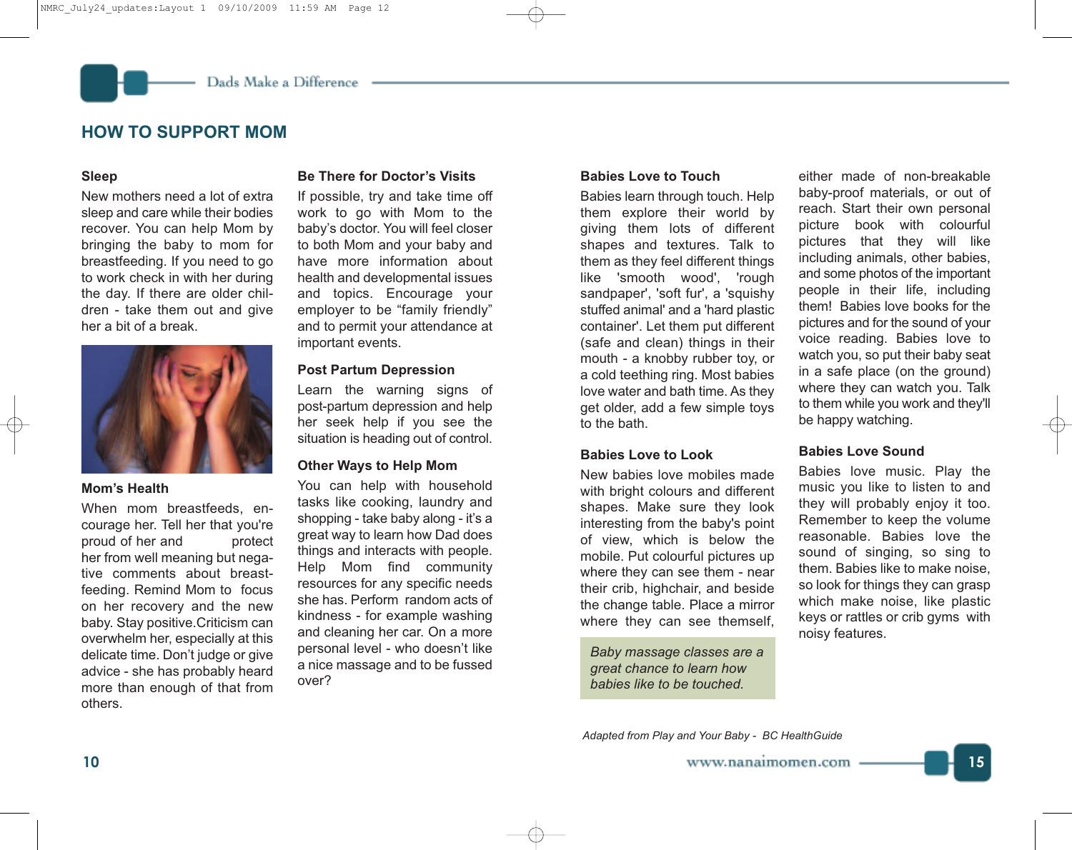# **HOW TO SUPPORT MOM**

#### **Sleep**

New mothers need a lot of extra sleep and care while their bodies recover. You can help Mom by bringing the baby to mom for breastfeeding. If you need to go to work check in with her during the day. If there are older children - take them out and give her a bit of a break.



#### **Mom's Health**

When mom breastfeeds, encourage her. Tell her that you're proud of her and protect her from well meaning but negative comments about breastfeeding. Remind Mom to focus on her recovery and the new baby. Stay positive.Criticism can overwhelm her, especially at this delicate time. Don't judge or give advice - she has probably heard more than enough of that from others.

# **Be There for Doctor's Visits**

If possible, try and take time off work to go with Mom to the baby's doctor. You will feel closer to both Mom and your baby and have more information about health and developmental issues and topics. Encourage your employer to be "family friendly" and to permit your attendance at important events.

# **Post Partum Depression**

Learn the warning signs of post-partum depression and help her seek help if you see the situation is heading out of control.

# **Other Ways to Help Mom**

You can help with household tasks like cooking, laundry and shopping - take baby along - it's a great way to learn how Dad does things and interacts with people. Help Mom find community resources for any specific needs she has. Perform random acts of kindness - for example washing and cleaning her car. On a more personal level - who doesn't like a nice massage and to be fussed over?

# **Babies Love to Touch**

Babies learn through touch. Help them explore their world by giving them lots of different shapes and textures. Talk to them as they feel different things like 'smooth wood', 'rough sandpaper', 'soft fur', a 'squishy stuffed animal' and a 'hard plastic container'. Let them put different (safe and clean) things in their mouth - a knobby rubber toy, or a cold teething ring. Most babies love water and bath time. As they get older, add a few simple toys to the bath.

# **Babies Love to Look**

New babies love mobiles made with bright colours and different shapes. Make sure they look interesting from the baby's point of view, which is below the mobile. Put colourful pictures up where they can see them - near their crib, highchair, and beside the change table. Place a mirror where they can see themself,

*Baby massage classes are a great chance to learn how babies like to be touched.*

either made of non-breakable baby-proof materials, or out of reach. Start their own personal picture book with colourful pictures that they will like including animals, other babies, and some photos of the important people in their life, including them! Babies love books for the pictures and for the sound of your voice reading. Babies love to watch you, so put their baby seat in a safe place (on the ground) where they can watch you. Talk to them while you work and they'll be happy watching.

# **Babies Love Sound**

Babies love music. Play the music you like to listen to and they will probably enjoy it too. Remember to keep the volume reasonable. Babies love the sound of singing, so sing to them. Babies like to make noise, so look for things they can grasp which make noise, like plastic keys or rattles or crib gyms with noisy features.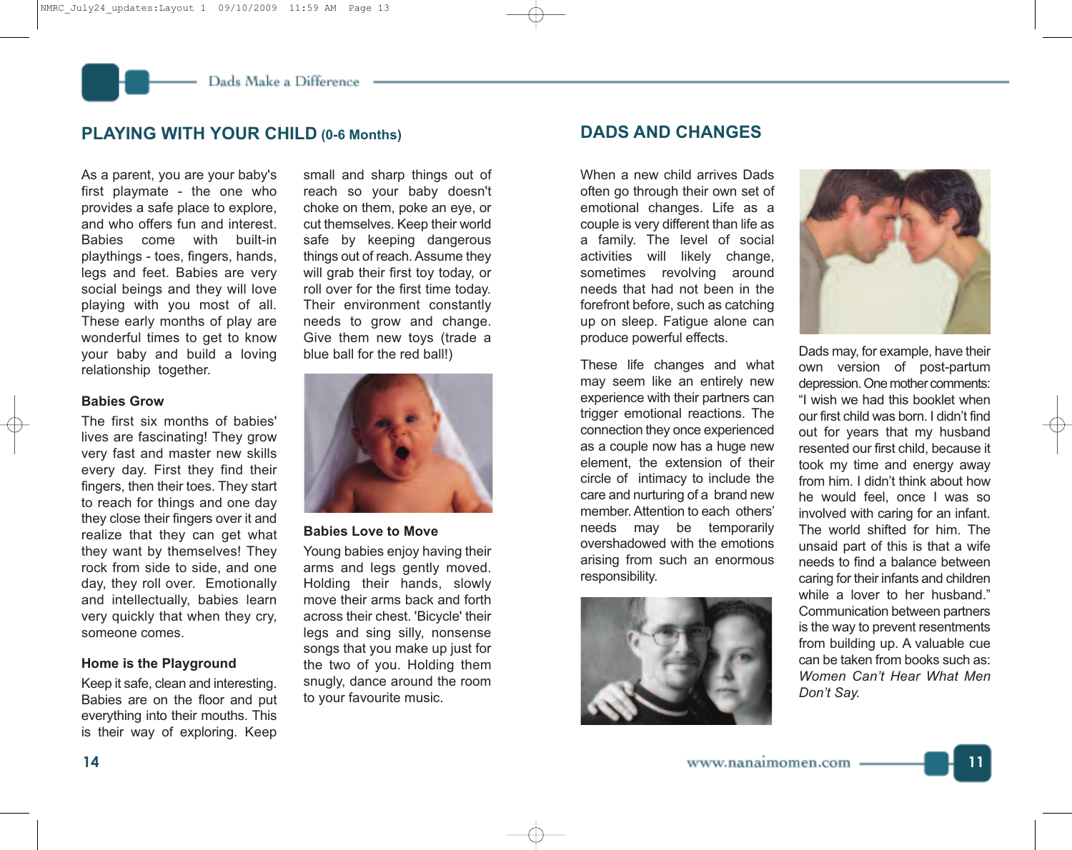# **PLAYING WITH YOUR CHILD (0-6 Months) DADS AND CHANGES**

As a parent, you are your baby's first playmate - the one who provides a safe place to explore, and who offers fun and interest. Babies come with built-in playthings - toes, fingers, hands, legs and feet. Babies are very social beings and they will love playing with you most of all. These early months of play are wonderful times to get to know your baby and build a loving relationship together.

# **Babies Grow**

The first six months of babies' lives are fascinating! They grow very fast and master new skills every day. First they find their fingers, then their toes. They start to reach for things and one day they close their fingers over it and realize that they can get what they want by themselves! They rock from side to side, and one day, they roll over. Emotionally and intellectually, babies learn very quickly that when they cry, someone comes.

# **Home is the Playground**

Keep it safe, clean and interesting. Babies are on the floor and put everything into their mouths. This is their way of exploring. Keep

small and sharp things out of reach so your baby doesn't choke on them, poke an eye, or cut themselves. Keep their world safe by keeping dangerous things out of reach. Assume they will grab their first toy today, or roll over for the first time today. Their environment constantly needs to grow and change. Give them new toys (trade a blue ball for the red ball!)



#### **Babies Love to Move**

Young babies enjoy having their arms and legs gently moved. Holding their hands, slowly move their arms back and forth across their chest. 'Bicycle' their legs and sing silly, nonsense songs that you make up just for the two of you. Holding them snugly, dance around the room to your favourite music.

When a new child arrives Dads often go through their own set of emotional changes. Life as a couple is very different than life as a family. The level of social activities will likely change, sometimes revolving around needs that had not been in the forefront before, such as catching up on sleep. Fatigue alone can produce powerful effects.

These life changes and what may seem like an entirely new experience with their partners can trigger emotional reactions. The connection they once experienced as a couple now has a huge new element, the extension of their circle of intimacy to include the care and nurturing of a brand new member.Attention to each others' needs may be temporarily overshadowed with the emotions arising from such an enormous responsibility.





Dads may, for example, have their own version of post-partum depression. One mother comments: "I wish we had this booklet when our first child was born. I didn't find out for years that my husband resented our first child, because it took my time and energy away from him. I didn't think about how he would feel, once I was so involved with caring for an infant. The world shifted for him. The unsaid part of this is that a wife needs to find a balance between caring for their infants and children while a lover to her husband." Communication between partners is the way to prevent resentments from building up. A valuable cue can be taken from books such as: *Women Can't Hear What Men Don't Say.*